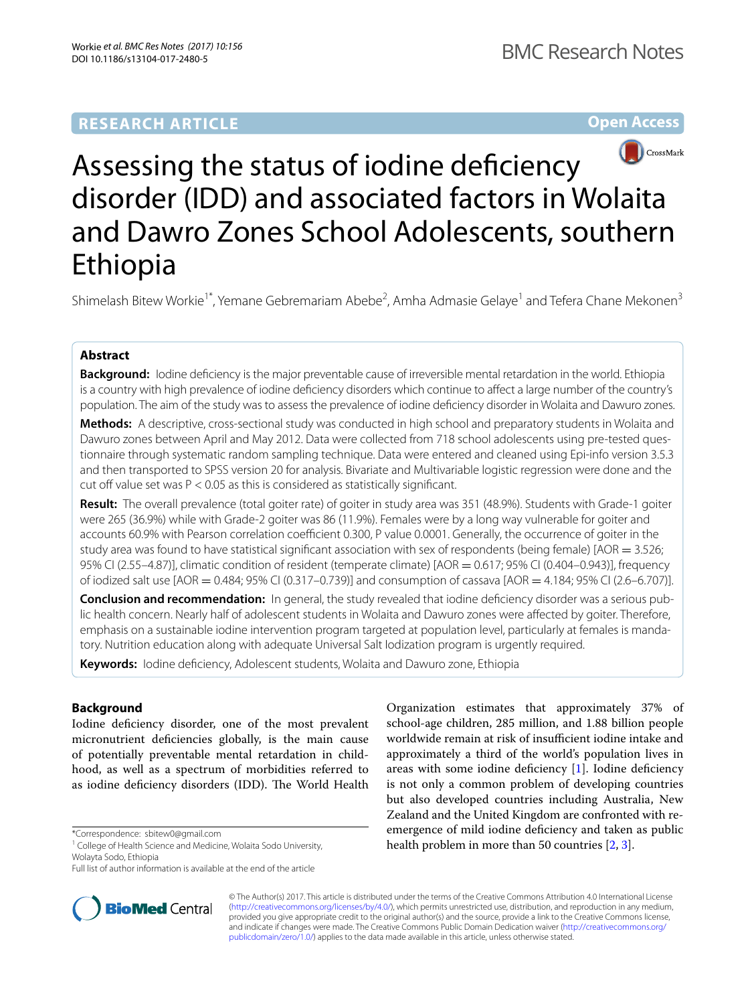# **RESEARCH ARTICLE**

**Open Access**



# Assessing the status of iodine deficiency disorder (IDD) and associated factors in Wolaita and Dawro Zones School Adolescents, southern Ethiopia

Shimelash Bitew Workie<sup>1\*</sup>, Yemane Gebremariam Abebe<sup>2</sup>, Amha Admasie Gelaye<sup>1</sup> and Tefera Chane Mekonen<sup>3</sup>

# **Abstract**

**Background:** Iodine defciency is the major preventable cause of irreversible mental retardation in the world. Ethiopia is a country with high prevalence of iodine defciency disorders which continue to afect a large number of the country's population. The aim of the study was to assess the prevalence of iodine defciency disorder in Wolaita and Dawuro zones.

**Methods:** A descriptive, cross-sectional study was conducted in high school and preparatory students in Wolaita and Dawuro zones between April and May 2012. Data were collected from 718 school adolescents using pre-tested questionnaire through systematic random sampling technique. Data were entered and cleaned using Epi-info version 3.5.3 and then transported to SPSS version 20 for analysis. Bivariate and Multivariable logistic regression were done and the cut off value set was  $P < 0.05$  as this is considered as statistically significant.

**Result:** The overall prevalence (total goiter rate) of goiter in study area was 351 (48.9%). Students with Grade-1 goiter were 265 (36.9%) while with Grade-2 goiter was 86 (11.9%). Females were by a long way vulnerable for goiter and accounts 60.9% with Pearson correlation coefficient 0.300, P value 0.0001. Generally, the occurrence of goiter in the study area was found to have statistical significant association with sex of respondents (being female) [AOR  $=$  3.526; 95% CI (2.55–4.87)], climatic condition of resident (temperate climate)  $[AOR = 0.617; 95%$  CI (0.404–0.943)], frequency of iodized salt use [AOR = 0.484; 95% CI (0.317–0.739)] and consumption of cassava [AOR = 4.184; 95% CI (2.6–6.707)].

**Conclusion and recommendation:** In general, the study revealed that iodine defciency disorder was a serious public health concern. Nearly half of adolescent students in Wolaita and Dawuro zones were afected by goiter. Therefore, emphasis on a sustainable iodine intervention program targeted at population level, particularly at females is mandatory. Nutrition education along with adequate Universal Salt Iodization program is urgently required.

**Keywords:** Iodine defciency, Adolescent students, Wolaita and Dawuro zone, Ethiopia

# **Background**

Iodine defciency disorder, one of the most prevalent micronutrient defciencies globally, is the main cause of potentially preventable mental retardation in childhood, as well as a spectrum of morbidities referred to as iodine deficiency disorders (IDD). The World Health

\*Correspondence: sbitew0@gmail.com

Full list of author information is available at the end of the article



Organization estimates that approximately 37% of school-age children, 285 million, and 1.88 billion people worldwide remain at risk of insufficient iodine intake and approximately a third of the world's population lives in areas with some iodine defciency [[1](#page-7-0)]. Iodine defciency is not only a common problem of developing countries but also developed countries including Australia, New Zealand and the United Kingdom are confronted with reemergence of mild iodine defciency and taken as public health problem in more than 50 countries [\[2](#page-7-1), [3\]](#page-7-2).

© The Author(s) 2017. This article is distributed under the terms of the Creative Commons Attribution 4.0 International License [\(http://creativecommons.org/licenses/by/4.0/\)](http://creativecommons.org/licenses/by/4.0/), which permits unrestricted use, distribution, and reproduction in any medium, provided you give appropriate credit to the original author(s) and the source, provide a link to the Creative Commons license, and indicate if changes were made. The Creative Commons Public Domain Dedication waiver ([http://creativecommons.org/](http://creativecommons.org/publicdomain/zero/1.0/) [publicdomain/zero/1.0/](http://creativecommons.org/publicdomain/zero/1.0/)) applies to the data made available in this article, unless otherwise stated.

<sup>&</sup>lt;sup>1</sup> College of Health Science and Medicine, Wolaita Sodo University, Wolayta Sodo, Ethiopia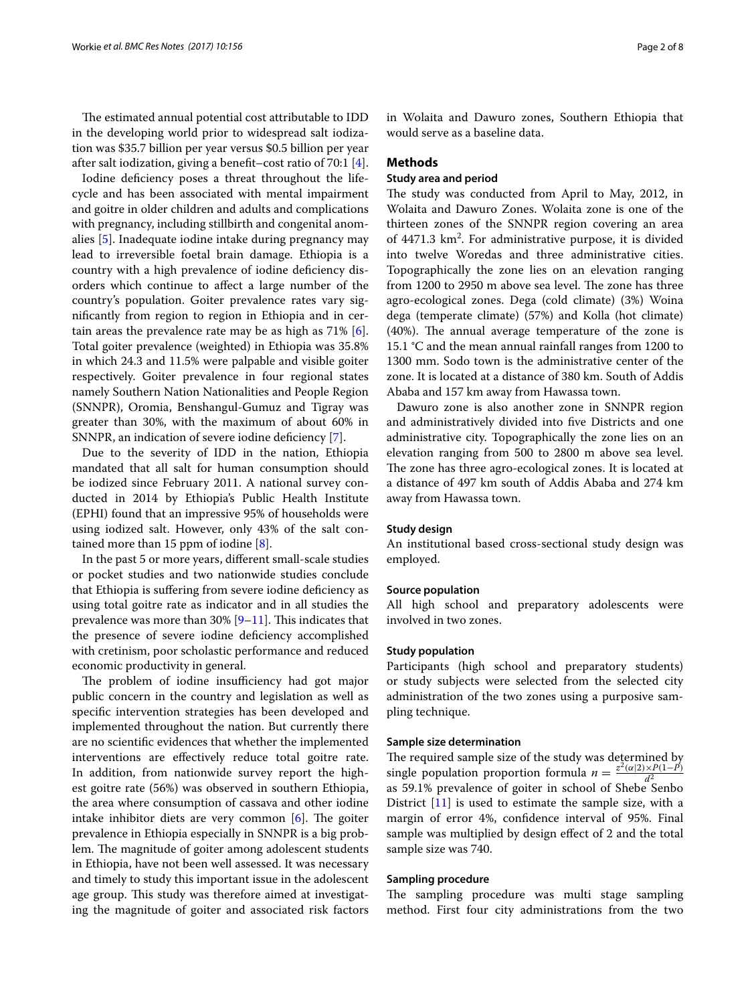The estimated annual potential cost attributable to IDD in the developing world prior to widespread salt iodization was \$35.7 billion per year versus \$0.5 billion per year after salt iodization, giving a beneft–cost ratio of 70:1 [\[4](#page-7-3)].

Iodine defciency poses a threat throughout the lifecycle and has been associated with mental impairment and goitre in older children and adults and complications with pregnancy, including stillbirth and congenital anomalies [[5](#page-7-4)]. Inadequate iodine intake during pregnancy may lead to irreversible foetal brain damage. Ethiopia is a country with a high prevalence of iodine defciency disorders which continue to afect a large number of the country's population. Goiter prevalence rates vary signifcantly from region to region in Ethiopia and in certain areas the prevalence rate may be as high as 71% [\[6](#page-7-5)]. Total goiter prevalence (weighted) in Ethiopia was 35.8% in which 24.3 and 11.5% were palpable and visible goiter respectively. Goiter prevalence in four regional states namely Southern Nation Nationalities and People Region (SNNPR), Oromia, Benshangul-Gumuz and Tigray was greater than 30%, with the maximum of about 60% in SNNPR, an indication of severe iodine defciency [\[7](#page-7-6)].

Due to the severity of IDD in the nation, Ethiopia mandated that all salt for human consumption should be iodized since February 2011. A national survey conducted in 2014 by Ethiopia's Public Health Institute (EPHI) found that an impressive 95% of households were using iodized salt. However, only 43% of the salt contained more than 15 ppm of iodine [\[8](#page-7-7)].

In the past 5 or more years, diferent small-scale studies or pocket studies and two nationwide studies conclude that Ethiopia is sufering from severe iodine defciency as using total goitre rate as indicator and in all studies the prevalence was more than  $30\%$  [[9](#page-7-8)[–11](#page-7-9)]. This indicates that the presence of severe iodine defciency accomplished with cretinism, poor scholastic performance and reduced economic productivity in general.

The problem of iodine insufficiency had got major public concern in the country and legislation as well as specifc intervention strategies has been developed and implemented throughout the nation. But currently there are no scientifc evidences that whether the implemented interventions are efectively reduce total goitre rate. In addition, from nationwide survey report the highest goitre rate (56%) was observed in southern Ethiopia, the area where consumption of cassava and other iodine intake inhibitor diets are very common  $[6]$  $[6]$  $[6]$ . The goiter prevalence in Ethiopia especially in SNNPR is a big problem. The magnitude of goiter among adolescent students in Ethiopia, have not been well assessed. It was necessary and timely to study this important issue in the adolescent age group. This study was therefore aimed at investigating the magnitude of goiter and associated risk factors in Wolaita and Dawuro zones, Southern Ethiopia that would serve as a baseline data.

#### **Methods**

# **Study area and period**

The study was conducted from April to May, 2012, in Wolaita and Dawuro Zones. Wolaita zone is one of the thirteen zones of the SNNPR region covering an area of 4471.3 km<sup>2</sup>. For administrative purpose, it is divided into twelve Woredas and three administrative cities. Topographically the zone lies on an elevation ranging from 1200 to 2950 m above sea level. The zone has three agro-ecological zones. Dega (cold climate) (3%) Woina dega (temperate climate) (57%) and Kolla (hot climate)  $(40%)$ . The annual average temperature of the zone is 15.1 °C and the mean annual rainfall ranges from 1200 to 1300 mm. Sodo town is the administrative center of the zone. It is located at a distance of 380 km. South of Addis Ababa and 157 km away from Hawassa town.

Dawuro zone is also another zone in SNNPR region and administratively divided into fve Districts and one administrative city. Topographically the zone lies on an elevation ranging from 500 to 2800 m above sea level. The zone has three agro-ecological zones. It is located at a distance of 497 km south of Addis Ababa and 274 km away from Hawassa town.

#### **Study design**

An institutional based cross-sectional study design was employed.

#### **Source population**

All high school and preparatory adolescents were involved in two zones.

#### **Study population**

Participants (high school and preparatory students) or study subjects were selected from the selected city administration of the two zones using a purposive sampling technique.

#### **Sample size determination**

The required sample size of the study was determined by single population proportion formula  $n = \frac{z^2(\alpha/2) \times P(1-P)}{d^2}$ as 59.1% prevalence of goiter in school of Shebe Senbo District [[11\]](#page-7-9) is used to estimate the sample size, with a margin of error 4%, confdence interval of 95%. Final sample was multiplied by design effect of 2 and the total sample size was 740.

#### **Sampling procedure**

The sampling procedure was multi stage sampling method. First four city administrations from the two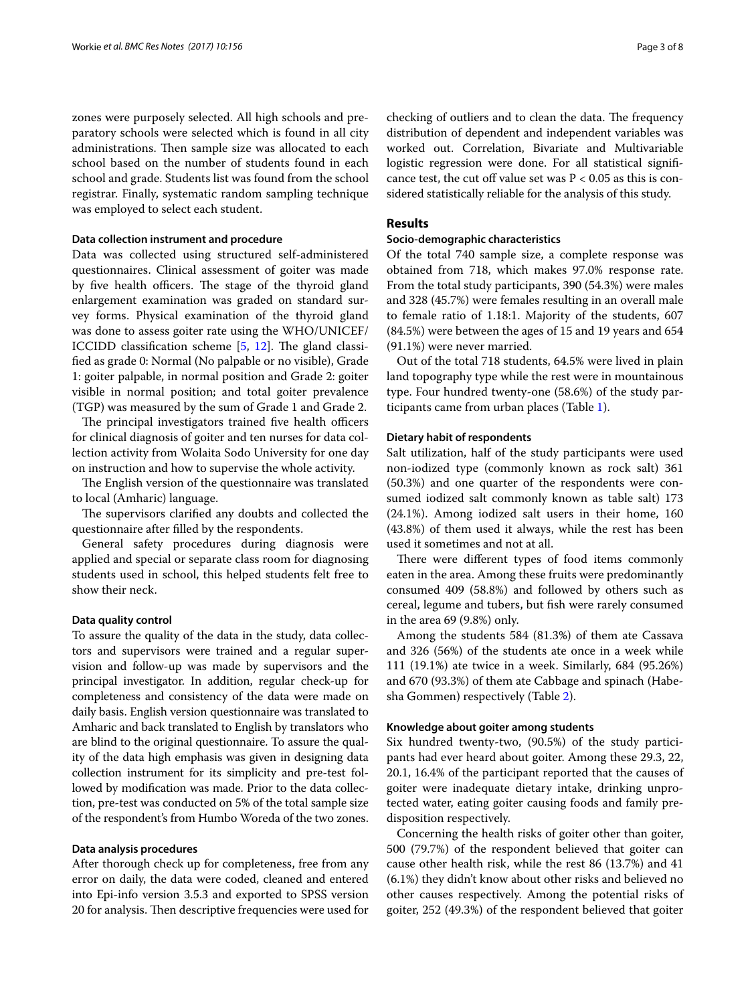zones were purposely selected. All high schools and preparatory schools were selected which is found in all city administrations. Then sample size was allocated to each school based on the number of students found in each school and grade. Students list was found from the school registrar. Finally, systematic random sampling technique was employed to select each student.

#### **Data collection instrument and procedure**

Data was collected using structured self-administered questionnaires. Clinical assessment of goiter was made by five health officers. The stage of the thyroid gland enlargement examination was graded on standard survey forms. Physical examination of the thyroid gland was done to assess goiter rate using the WHO/UNICEF/ ICCIDD classification scheme  $[5, 12]$  $[5, 12]$  $[5, 12]$  $[5, 12]$  $[5, 12]$ . The gland classifed as grade 0: Normal (No palpable or no visible), Grade 1: goiter palpable, in normal position and Grade 2: goiter visible in normal position; and total goiter prevalence (TGP) was measured by the sum of Grade 1 and Grade 2.

The principal investigators trained five health officers for clinical diagnosis of goiter and ten nurses for data collection activity from Wolaita Sodo University for one day on instruction and how to supervise the whole activity.

The English version of the questionnaire was translated to local (Amharic) language.

The supervisors clarified any doubts and collected the questionnaire after flled by the respondents.

General safety procedures during diagnosis were applied and special or separate class room for diagnosing students used in school, this helped students felt free to show their neck.

#### **Data quality control**

To assure the quality of the data in the study, data collectors and supervisors were trained and a regular supervision and follow-up was made by supervisors and the principal investigator. In addition, regular check-up for completeness and consistency of the data were made on daily basis. English version questionnaire was translated to Amharic and back translated to English by translators who are blind to the original questionnaire. To assure the quality of the data high emphasis was given in designing data collection instrument for its simplicity and pre-test followed by modifcation was made. Prior to the data collection, pre-test was conducted on 5% of the total sample size of the respondent's from Humbo Woreda of the two zones.

#### **Data analysis procedures**

After thorough check up for completeness, free from any error on daily, the data were coded, cleaned and entered into Epi-info version 3.5.3 and exported to SPSS version 20 for analysis. Then descriptive frequencies were used for checking of outliers and to clean the data. The frequency distribution of dependent and independent variables was worked out. Correlation, Bivariate and Multivariable logistic regression were done. For all statistical signifcance test, the cut off value set was  $P < 0.05$  as this is considered statistically reliable for the analysis of this study.

# **Results**

#### **Socio‑demographic characteristics**

Of the total 740 sample size, a complete response was obtained from 718, which makes 97.0% response rate. From the total study participants, 390 (54.3%) were males and 328 (45.7%) were females resulting in an overall male to female ratio of 1.18:1. Majority of the students, 607 (84.5%) were between the ages of 15 and 19 years and 654 (91.1%) were never married.

Out of the total 718 students, 64.5% were lived in plain land topography type while the rest were in mountainous type. Four hundred twenty-one (58.6%) of the study participants came from urban places (Table [1](#page-3-0)).

#### **Dietary habit of respondents**

Salt utilization, half of the study participants were used non-iodized type (commonly known as rock salt) 361 (50.3%) and one quarter of the respondents were consumed iodized salt commonly known as table salt) 173 (24.1%). Among iodized salt users in their home, 160 (43.8%) of them used it always, while the rest has been used it sometimes and not at all.

There were different types of food items commonly eaten in the area. Among these fruits were predominantly consumed 409 (58.8%) and followed by others such as cereal, legume and tubers, but fsh were rarely consumed in the area 69 (9.8%) only.

Among the students 584 (81.3%) of them ate Cassava and 326 (56%) of the students ate once in a week while 111 (19.1%) ate twice in a week. Similarly, 684 (95.26%) and 670 (93.3%) of them ate Cabbage and spinach (Habesha Gommen) respectively (Table [2\)](#page-4-0).

#### **Knowledge about goiter among students**

Six hundred twenty-two, (90.5%) of the study participants had ever heard about goiter. Among these 29.3, 22, 20.1, 16.4% of the participant reported that the causes of goiter were inadequate dietary intake, drinking unprotected water, eating goiter causing foods and family predisposition respectively.

Concerning the health risks of goiter other than goiter, 500 (79.7%) of the respondent believed that goiter can cause other health risk, while the rest 86 (13.7%) and 41 (6.1%) they didn't know about other risks and believed no other causes respectively. Among the potential risks of goiter, 252 (49.3%) of the respondent believed that goiter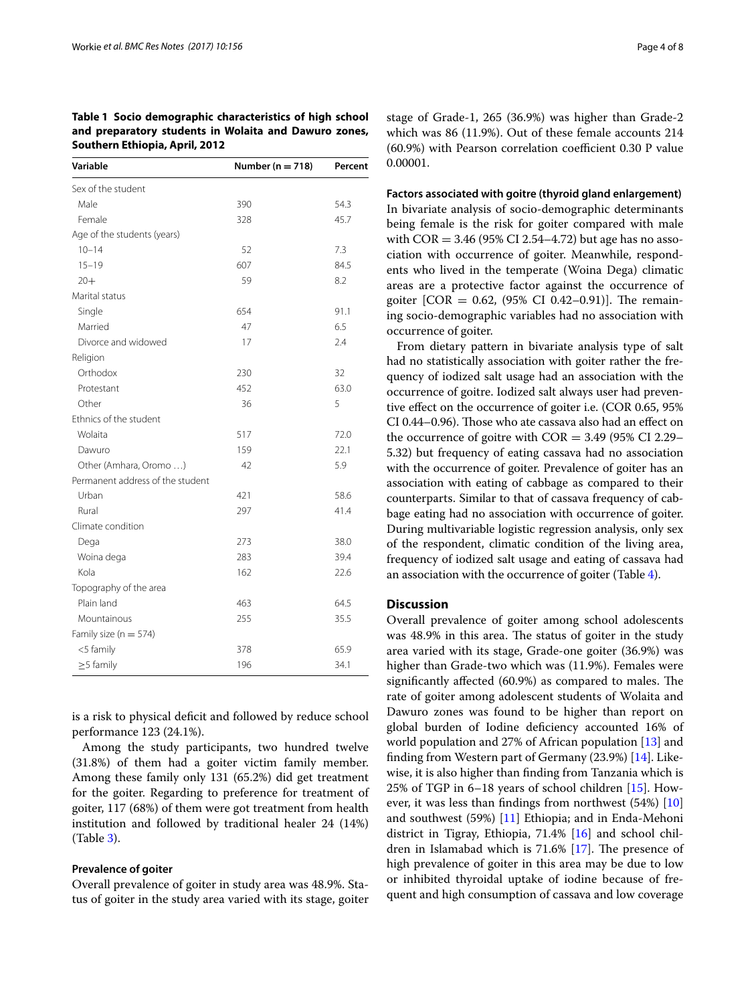<span id="page-3-0"></span>

| Table 1 Socio demographic characteristics of high school |  |
|----------------------------------------------------------|--|
| and preparatory students in Wolaita and Dawuro zones,    |  |
| Southern Ethiopia, April, 2012                           |  |

| Variable                         | Number ( $n = 718$ ) | Percent |
|----------------------------------|----------------------|---------|
| Sex of the student               |                      |         |
| Male                             | 390                  | 54.3    |
| Female                           | 328                  | 45.7    |
| Age of the students (years)      |                      |         |
| $10 - 14$                        | 52                   | 7.3     |
| $15 - 19$                        | 607                  | 84.5    |
| $20 +$                           | 59                   | 8.2     |
| Marital status                   |                      |         |
| Single                           | 654                  | 91.1    |
| Married                          | 47                   | 6.5     |
| Divorce and widowed              | 17                   | 2.4     |
| Religion                         |                      |         |
| Orthodox                         | 230                  | 32      |
| Protestant                       | 452                  | 63.0    |
| Other                            | 36                   | 5       |
| Ethnics of the student           |                      |         |
| Wolaita                          | 517                  | 72.0    |
| Dawuro                           | 159                  | 22.1    |
| Other (Amhara, Oromo )           | 42                   | 5.9     |
| Permanent address of the student |                      |         |
| Urban                            | 421                  | 58.6    |
| Rural                            | 297                  | 41.4    |
| Climate condition                |                      |         |
| Dega                             | 273                  | 38.0    |
| Woina dega                       | 283                  | 39.4    |
| Kola                             | 162                  | 22.6    |
| Topography of the area           |                      |         |
| Plain land                       | 463                  | 64.5    |
| Mountainous                      | 255                  | 35.5    |
| Family size ( $n = 574$ )        |                      |         |
| <5 family                        | 378                  | 65.9    |
| $\geq$ 5 family                  | 196                  | 34.1    |

is a risk to physical deficit and followed by reduce school performance 123 (24.1%).

Among the study participants, two hundred twelve (31.8%) of them had a goiter victim family member. Among these family only 131 (65.2%) did get treatment for the goiter. Regarding to preference for treatment of goiter, 117 (68%) of them were got treatment from health institution and followed by traditional healer 24 (14%) (Table [3](#page-5-0)).

#### **Prevalence of goiter**

Overall prevalence of goiter in study area was 48.9%. Status of goiter in the study area varied with its stage, goiter stage of Grade-1, 265 (36.9%) was higher than Grade-2 which was 86 (11.9%). Out of these female accounts 214  $(60.9\%)$  with Pearson correlation coefficient 0.30 P value 0.00001.

**Factors associated with goitre (thyroid gland enlargement)** In bivariate analysis of socio-demographic determinants being female is the risk for goiter compared with male with  $COR = 3.46 (95\% CI 2.54-4.72)$  but age has no association with occurrence of goiter. Meanwhile, respondents who lived in the temperate (Woina Dega) climatic areas are a protective factor against the occurrence of goiter  $[COR = 0.62, (95\% CI 0.42-0.91)]$ . The remaining socio-demographic variables had no association with occurrence of goiter.

From dietary pattern in bivariate analysis type of salt had no statistically association with goiter rather the frequency of iodized salt usage had an association with the occurrence of goitre. Iodized salt always user had preventive efect on the occurrence of goiter i.e. (COR 0.65, 95% CI 0.44-0.96). Those who ate cassava also had an effect on the occurrence of goitre with  $COR = 3.49$  (95% CI 2.29– 5.32) but frequency of eating cassava had no association with the occurrence of goiter. Prevalence of goiter has an association with eating of cabbage as compared to their counterparts. Similar to that of cassava frequency of cabbage eating had no association with occurrence of goiter. During multivariable logistic regression analysis, only sex of the respondent, climatic condition of the living area, frequency of iodized salt usage and eating of cassava had an association with the occurrence of goiter (Table [4](#page-6-0)).

#### **Discussion**

Overall prevalence of goiter among school adolescents was 48.9% in this area. The status of goiter in the study area varied with its stage, Grade-one goiter (36.9%) was higher than Grade-two which was (11.9%). Females were significantly affected (60.9%) as compared to males. The rate of goiter among adolescent students of Wolaita and Dawuro zones was found to be higher than report on global burden of Iodine defciency accounted 16% of world population and 27% of African population [\[13\]](#page-7-11) and fnding from Western part of Germany (23.9%) [\[14\]](#page-7-12). Likewise, it is also higher than fnding from Tanzania which is 25% of TGP in 6–18 years of school children [\[15\]](#page-7-13). However, it was less than fndings from northwest (54%) [[10](#page-7-14)] and southwest (59%) [[11\]](#page-7-9) Ethiopia; and in Enda-Mehoni district in Tigray, Ethiopia, 71.4% [\[16](#page-7-15)] and school children in Islamabad which is  $71.6\%$  [\[17\]](#page-7-16). The presence of high prevalence of goiter in this area may be due to low or inhibited thyroidal uptake of iodine because of frequent and high consumption of cassava and low coverage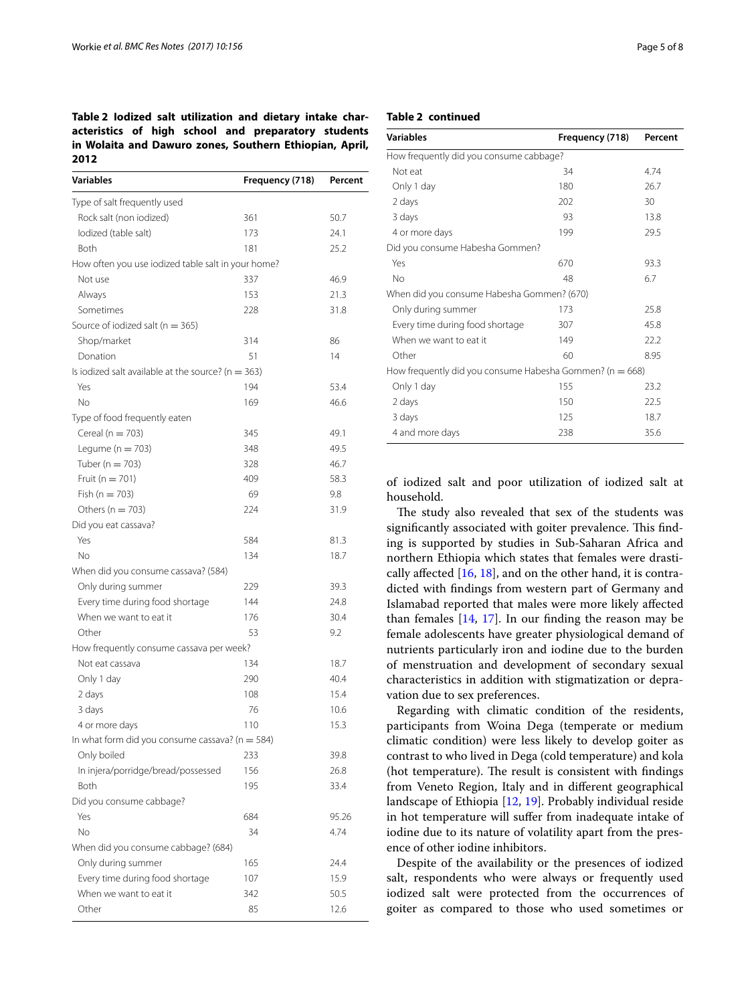# <span id="page-4-0"></span>**Table 2 Iodized salt utilization and dietary intake characteristics of high school and preparatory students in Wolaita and Dawuro zones, Southern Ethiopian, April, 2012**

| Variables                                              | Frequency (718) | Percent |
|--------------------------------------------------------|-----------------|---------|
| Type of salt frequently used                           |                 |         |
| Rock salt (non iodized)                                | 361             | 50.7    |
| lodized (table salt)                                   | 173             | 24.1    |
| Both                                                   | 181             | 25.2    |
| How often you use iodized table salt in your home?     |                 |         |
| Not use                                                | 337             | 46.9    |
| Always                                                 | 153             | 21.3    |
| Sometimes                                              | 228             | 31.8    |
| Source of iodized salt ( $n = 365$ )                   |                 |         |
| Shop/market                                            | 314             | 86      |
| Donation                                               | 51              | 14      |
| Is iodized salt available at the source? ( $n = 363$ ) |                 |         |
| Yes                                                    | 194             | 53.4    |
| No                                                     | 169             | 46.6    |
| Type of food frequently eaten                          |                 |         |
| Cereal ( $n = 703$ )                                   | 345             | 49.1    |
| Legume ( $n = 703$ )                                   | 348             | 49.5    |
| Tuber ( $n = 703$ )                                    | 328             | 46.7    |
| Fruit ( $n = 701$ )                                    | 409             | 58.3    |
| Fish ( $n = 703$ )                                     | 69              | 9.8     |
| Others ( $n = 703$ )                                   | 224             | 31.9    |
| Did you eat cassava?                                   |                 |         |
| Yes                                                    | 584             | 81.3    |
| No                                                     | 134             | 18.7    |
| When did you consume cassava? (584)                    |                 |         |
| Only during summer                                     | 229             | 39.3    |
| Every time during food shortage                        | 144             | 24.8    |
| When we want to eat it                                 | 176             | 30.4    |
| Other                                                  | 53              | 9.2     |
| How frequently consume cassava per week?               |                 |         |
| Not eat cassava                                        | 134             | 18.7    |
| Only 1 day                                             | 290             | 40.4    |
| 2 days                                                 | 108             | 15.4    |
| 3 days                                                 | 76              | 10.6    |
| 4 or more days                                         | 110             | 15.3    |
| In what form did you consume cassava? ( $n = 584$ )    |                 |         |
| Only boiled                                            | 233             | 39.8    |
| In injera/porridge/bread/possessed                     | 156             | 26.8    |
| <b>Both</b>                                            | 195             | 33.4    |
| Did you consume cabbage?                               |                 |         |
| Yes                                                    | 684             | 95.26   |
| No                                                     | 34              | 4.74    |
| When did you consume cabbage? (684)                    |                 |         |
| Only during summer                                     | 165             | 24.4    |
| Every time during food shortage                        | 107             | 15.9    |
| When we want to eat it                                 | 342             | 50.5    |
| Other                                                  | 85              | 12.6    |

## **Table 2 continued**

| <b>Variables</b>                                             | Frequency (718) | Percent |
|--------------------------------------------------------------|-----------------|---------|
| How frequently did you consume cabbage?                      |                 |         |
| Not eat                                                      | 34              | 4.74    |
| Only 1 day                                                   | 180             | 26.7    |
| 2 days                                                       | 202             | 30      |
| 3 days                                                       | 93              | 13.8    |
| 4 or more days                                               | 199             | 29.5    |
| Did you consume Habesha Gommen?                              |                 |         |
| Yes                                                          | 670             | 93.3    |
| No                                                           | 48              | 6.7     |
| When did you consume Habesha Gommen? (670)                   |                 |         |
| Only during summer                                           | 173             | 25.8    |
| Every time during food shortage                              | 307             | 45.8    |
| When we want to eat it                                       | 149             | 22.2    |
| Other                                                        | 60              | 8.95    |
| How frequently did you consume Habesha Gommen? ( $n = 668$ ) |                 |         |
| Only 1 day                                                   | 155             | 23.2    |
| 2 days                                                       | 150             | 22.5    |
| 3 days                                                       | 125             | 18.7    |
| 4 and more days                                              | 238             | 35.6    |

of iodized salt and poor utilization of iodized salt at household.

The study also revealed that sex of the students was significantly associated with goiter prevalence. This finding is supported by studies in Sub-Saharan Africa and northern Ethiopia which states that females were drastically afected [[16](#page-7-15), [18\]](#page-7-17), and on the other hand, it is contradicted with fndings from western part of Germany and Islamabad reported that males were more likely afected than females [\[14](#page-7-12), [17\]](#page-7-16). In our fnding the reason may be female adolescents have greater physiological demand of nutrients particularly iron and iodine due to the burden of menstruation and development of secondary sexual characteristics in addition with stigmatization or depravation due to sex preferences.

Regarding with climatic condition of the residents, participants from Woina Dega (temperate or medium climatic condition) were less likely to develop goiter as contrast to who lived in Dega (cold temperature) and kola (hot temperature). The result is consistent with findings from Veneto Region, Italy and in diferent geographical landscape of Ethiopia [[12,](#page-7-10) [19](#page-7-18)]. Probably individual reside in hot temperature will suffer from inadequate intake of iodine due to its nature of volatility apart from the presence of other iodine inhibitors.

Despite of the availability or the presences of iodized salt, respondents who were always or frequently used iodized salt were protected from the occurrences of goiter as compared to those who used sometimes or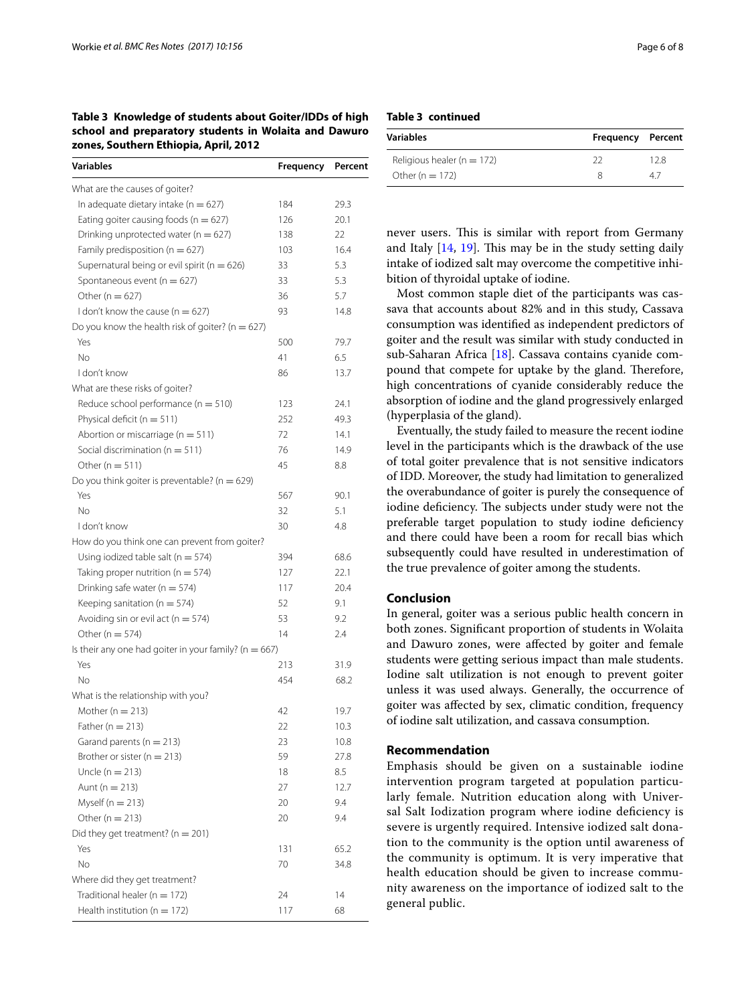<span id="page-5-0"></span>**Table 3 Knowledge of students about Goiter/IDDs of high school and preparatory students in Wolaita and Dawuro zones, Southern Ethiopia, April, 2012**

| Variables                                                 | <b>Frequency</b> | Percent |
|-----------------------------------------------------------|------------------|---------|
| What are the causes of goiter?                            |                  |         |
| In adequate dietary intake ( $n = 627$ )                  | 184              | 29.3    |
| Eating goiter causing foods ( $n = 627$ )                 | 126              | 20.1    |
| Drinking unprotected water ( $n = 627$ )                  | 138              | 22      |
| Family predisposition ( $n = 627$ )                       | 103              | 16.4    |
| Supernatural being or evil spirit ( $n = 626$ )           | 33               | 5.3     |
| Spontaneous event ( $n = 627$ )                           | 33               | 5.3     |
| Other ( $n = 627$ )                                       | 36               | 5.7     |
| I don't know the cause ( $n = 627$ )                      | 93               | 14.8    |
| Do you know the health risk of goiter? ( $n = 627$ )      |                  |         |
| Yes                                                       | 500              | 79.7    |
| <b>No</b>                                                 | 41               | 6.5     |
| I don't know                                              | 86               | 13.7    |
| What are these risks of goiter?                           |                  |         |
| Reduce school performance ( $n = 510$ )                   | 123              | 24.1    |
| Physical deficit ( $n = 511$ )                            | 252              | 49.3    |
| Abortion or miscarriage ( $n = 511$ )                     | 72               | 14.1    |
| Social discrimination ( $n = 511$ )                       | 76               | 14.9    |
| Other ( $n = 511$ )                                       | 45               | 8.8     |
| Do you think goiter is preventable? ( $n = 629$ )         |                  |         |
| Yes                                                       | 567              | 90.1    |
| <b>No</b>                                                 | 32               | 5.1     |
| I don't know                                              | 30               | 4.8     |
| How do you think one can prevent from goiter?             |                  |         |
| Using iodized table salt ( $n = 574$ )                    | 394              | 68.6    |
| Taking proper nutrition ( $n = 574$ )                     | 127              | 22.1    |
| Drinking safe water ( $n = 574$ )                         | 117              | 20.4    |
| Keeping sanitation ( $n = 574$ )                          | 52               | 9.1     |
| Avoiding sin or evil act ( $n = 574$ )                    | 53               | 9.2     |
| Other ( $n = 574$ )                                       | 14               | 2.4     |
| Is their any one had goiter in your family? ( $n = 667$ ) |                  |         |
| Yes                                                       | 213              | 31.9    |
| No                                                        | 454              | 68.2    |
| What is the relationship with you?                        |                  |         |
| Mother ( $n = 213$ )                                      | 42               | 19.7    |
| Father ( $n = 213$ )                                      | 22               | 10.3    |
| Garand parents ( $n = 213$ )                              | 23               | 10.8    |
| Brother or sister ( $n = 213$ )                           | 59               | 27.8    |
| Uncle ( $n = 213$ )                                       | 18               | 8.5     |
| Aunt ( $n = 213$ )                                        | 27               | 12.7    |
| Myself ( $n = 213$ )                                      | 20               | 9.4     |
| Other ( $n = 213$ )                                       | 20               | 9.4     |
| Did they get treatment? ( $n = 201$ )                     |                  |         |
| Yes                                                       | 131              | 65.2    |
| No                                                        | 70               | 34.8    |
| Where did they get treatment?                             |                  |         |
| Traditional healer ( $n = 172$ )                          | 24               | 14      |
| Health institution ( $n = 172$ )                          | 117              | 68      |

**Table 3 continued**

| Variables                      | <b>Frequency Percent</b> |     |  |
|--------------------------------|--------------------------|-----|--|
| Religious healer ( $n = 172$ ) | วว                       | 128 |  |
| Other ( $n = 172$ )            |                          | 47  |  |

never users. This is similar with report from Germany and Italy  $[14, 19]$  $[14, 19]$  $[14, 19]$  $[14, 19]$ . This may be in the study setting daily intake of iodized salt may overcome the competitive inhibition of thyroidal uptake of iodine.

Most common staple diet of the participants was cassava that accounts about 82% and in this study, Cassava consumption was identifed as independent predictors of goiter and the result was similar with study conducted in sub-Saharan Africa [\[18](#page-7-17)]. Cassava contains cyanide compound that compete for uptake by the gland. Therefore, high concentrations of cyanide considerably reduce the absorption of iodine and the gland progressively enlarged (hyperplasia of the gland).

Eventually, the study failed to measure the recent iodine level in the participants which is the drawback of the use of total goiter prevalence that is not sensitive indicators of IDD. Moreover, the study had limitation to generalized the overabundance of goiter is purely the consequence of iodine deficiency. The subjects under study were not the preferable target population to study iodine defciency and there could have been a room for recall bias which subsequently could have resulted in underestimation of the true prevalence of goiter among the students.

## **Conclusion**

In general, goiter was a serious public health concern in both zones. Signifcant proportion of students in Wolaita and Dawuro zones, were afected by goiter and female students were getting serious impact than male students. Iodine salt utilization is not enough to prevent goiter unless it was used always. Generally, the occurrence of goiter was afected by sex, climatic condition, frequency of iodine salt utilization, and cassava consumption.

## **Recommendation**

Emphasis should be given on a sustainable iodine intervention program targeted at population particularly female. Nutrition education along with Universal Salt Iodization program where iodine defciency is severe is urgently required. Intensive iodized salt donation to the community is the option until awareness of the community is optimum. It is very imperative that health education should be given to increase community awareness on the importance of iodized salt to the general public.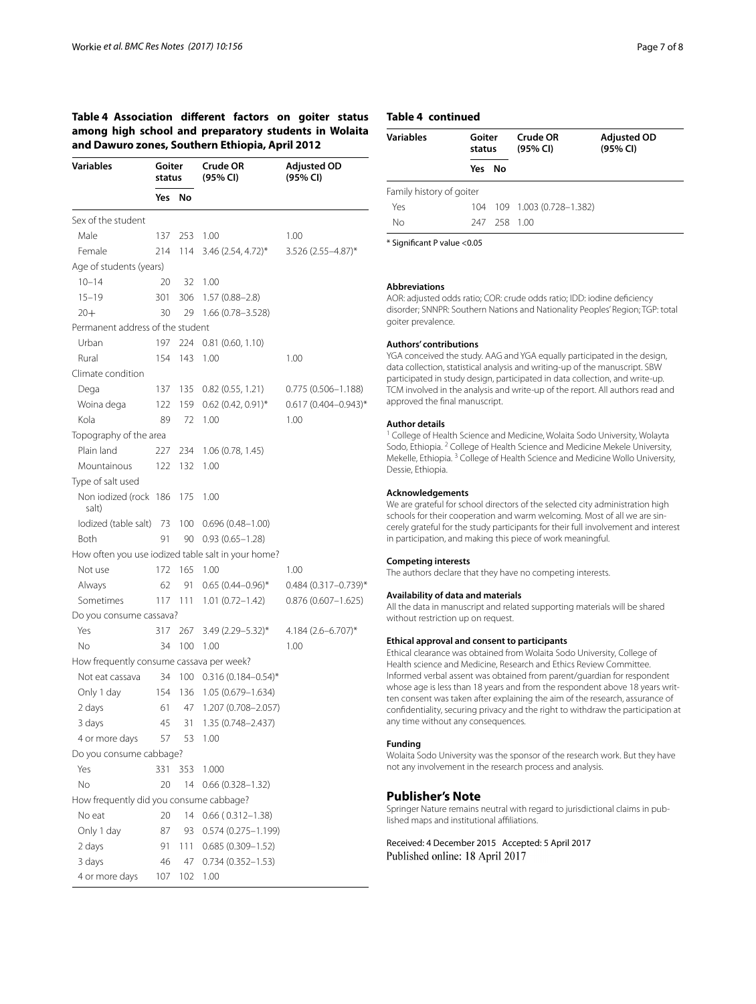# <span id="page-6-0"></span>**Table 4 Association diferent factors on goiter status among high school and preparatory students in Wolaita and Dawuro zones, Southern Ethiopia, April 2012**

| Variables                                | Goiter<br>status |     | Crude OR<br>(95% CI)                               | <b>Adjusted OD</b><br>(95% CI)   |
|------------------------------------------|------------------|-----|----------------------------------------------------|----------------------------------|
|                                          | Yes              | No  |                                                    |                                  |
| Sex of the student                       |                  |     |                                                    |                                  |
| Male                                     | 137              | 253 | 1.00                                               | 1.00                             |
| Female                                   | 214              | 114 | 3.46 (2.54, 4.72)*                                 | 3.526 (2.55-4.87)*               |
| Age of students (years)                  |                  |     |                                                    |                                  |
| $10 - 14$                                | 20               | 32  | 1.00                                               |                                  |
| $15 - 19$                                | 301              | 306 | $1.57(0.88 - 2.8)$                                 |                                  |
| $20+$                                    | 30               | 29  | $1.66(0.78 - 3.528)$                               |                                  |
| Permanent address of the student         |                  |     |                                                    |                                  |
| Urban                                    | 197              | 224 | 0.81(0.60, 1.10)                                   |                                  |
| Rural                                    | 154              | 143 | 1.00                                               | 1.00                             |
| Climate condition                        |                  |     |                                                    |                                  |
| Dega                                     | 137              | 135 | 0.82(0.55, 1.21)                                   | $0.775(0.506 - 1.188)$           |
| Woina dega                               | 122              | 159 | $0.62$ (0.42, 0.91)*                               | $0.617(0.404 - 0.943)^*$         |
| Kola                                     | 89               | 72  | 1.00                                               | 1.00                             |
| Topography of the area                   |                  |     |                                                    |                                  |
| Plain land                               | 227              | 234 | 1.06(0.78, 1.45)                                   |                                  |
| Mountainous                              | 122              | 132 | 1.00                                               |                                  |
| Type of salt used                        |                  |     |                                                    |                                  |
| Non iodized (rock 186<br>salt)           |                  | 175 | 1.00                                               |                                  |
| lodized (table salt) 73 100              |                  |     | $0.696(0.48 - 1.00)$                               |                                  |
| Both                                     | 91               | 90  | $0.93(0.65 - 1.28)$                                |                                  |
|                                          |                  |     | How often you use iodized table salt in your home? |                                  |
| Not use                                  | 172              | 165 | 1.00                                               | 1.00                             |
| Always                                   | 62               | -91 | $0.65(0.44 - 0.96)^*$                              | $0.484$ (0.317-0.739)*           |
| Sometimes                                | 117              | 111 | $1.01(0.72 - 1.42)$                                | $0.876(0.607 - 1.625)$           |
| Do you consume cassava?                  |                  |     |                                                    |                                  |
| Yes                                      | 317              | 267 | $3.49(2.29 - 5.32)^*$                              | $4.184$ (2.6-6.707) <sup>*</sup> |
| No                                       | 34               | 100 | 1.00                                               | 1.00                             |
| How frequently consume cassava per week? |                  |     |                                                    |                                  |
| Not eat cassava                          | 34               | 100 | $0.316(0.184 - 0.54)^*$                            |                                  |
| Only 1 day                               | 154              | 136 | 1.05 (0.679–1.634)                                 |                                  |
| 2 days                                   | 61               | 47  | 1.207 (0.708-2.057)                                |                                  |
| 3 days                                   | 45               | 31  | 1.35 (0.748-2.437)                                 |                                  |
| 4 or more days                           | 57               | 53  | 1.00                                               |                                  |
| Do you consume cabbage?                  |                  |     |                                                    |                                  |
| Yes                                      | 331              | 353 | 1.000                                              |                                  |
| No                                       | 20               | 14  | $0.66(0.328 - 1.32)$                               |                                  |
| How frequently did you consume cabbage?  |                  |     |                                                    |                                  |
| No eat                                   | 20               | 14  | $0.66$ ( $0.312 - 1.38$ )                          |                                  |
| Only 1 day                               | 87               | 93  | $0.574(0.275 - 1.199)$                             |                                  |
| 2 days                                   | 91               | 111 | $0.685(0.309 - 1.52)$                              |                                  |
| 3 days                                   | 46               | 47  | $0.734(0.352 - 1.53)$                              |                                  |
| 4 or more days                           | 107              | 102 | 1.00                                               |                                  |

# **Table 4 continued**

| <b>Variables</b><br>Goiter<br>status                                                                                                                                                                                                                                                                               |        |              | Crude OR<br>(95% CI)        | <b>Adjusted OD</b><br>(95% CI) |
|--------------------------------------------------------------------------------------------------------------------------------------------------------------------------------------------------------------------------------------------------------------------------------------------------------------------|--------|--------------|-----------------------------|--------------------------------|
|                                                                                                                                                                                                                                                                                                                    | Yes No |              |                             |                                |
| Family history of goiter                                                                                                                                                                                                                                                                                           |        |              |                             |                                |
| Yes                                                                                                                                                                                                                                                                                                                |        |              | 104 109 1.003 (0.728-1.382) |                                |
| No                                                                                                                                                                                                                                                                                                                 |        | 247 258 1.00 |                             |                                |
| $\sqrt{2}$ $\sqrt{2}$ $\sqrt{2}$ $\sqrt{2}$ $\sqrt{2}$ $\sqrt{2}$ $\sqrt{2}$ $\sqrt{2}$ $\sqrt{2}$ $\sqrt{2}$ $\sqrt{2}$ $\sqrt{2}$ $\sqrt{2}$ $\sqrt{2}$ $\sqrt{2}$ $\sqrt{2}$ $\sqrt{2}$ $\sqrt{2}$ $\sqrt{2}$ $\sqrt{2}$ $\sqrt{2}$ $\sqrt{2}$ $\sqrt{2}$ $\sqrt{2}$ $\sqrt{2}$ $\sqrt{2}$ $\sqrt{2}$ $\sqrt{2$ |        |              |                             |                                |

\* Signifcant P value <0.05

#### **Abbreviations**

AOR: adjusted odds ratio; COR: crude odds ratio; IDD: iodine defciency disorder; SNNPR: Southern Nations and Nationality Peoples' Region; TGP: total goiter prevalence.

#### **Authors' contributions**

YGA conceived the study. AAG and YGA equally participated in the design, data collection, statistical analysis and writing-up of the manuscript. SBW participated in study design, participated in data collection, and write-up. TCM involved in the analysis and write-up of the report. All authors read and approved the fnal manuscript.

#### **Author details**

<sup>1</sup> College of Health Science and Medicine, Wolaita Sodo University, Wolayta Sodo, Ethiopia. <sup>2</sup> College of Health Science and Medicine Mekele University, Mekelle, Ethiopia. 3 College of Health Science and Medicine Wollo University, Dessie, Ethiopia.

#### **Acknowledgements**

We are grateful for school directors of the selected city administration high schools for their cooperation and warm welcoming. Most of all we are sincerely grateful for the study participants for their full involvement and interest in participation, and making this piece of work meaningful.

#### **Competing interests**

The authors declare that they have no competing interests.

#### **Availability of data and materials**

All the data in manuscript and related supporting materials will be shared without restriction up on request.

#### **Ethical approval and consent to participants**

Ethical clearance was obtained from Wolaita Sodo University, College of Health science and Medicine, Research and Ethics Review Committee. Informed verbal assent was obtained from parent/guardian for respondent whose age is less than 18 years and from the respondent above 18 years written consent was taken after explaining the aim of the research, assurance of confdentiality, securing privacy and the right to withdraw the participation at any time without any consequences.

#### **Funding**

Wolaita Sodo University was the sponsor of the research work. But they have not any involvement in the research process and analysis.

#### **Publisher's Note**

Springer Nature remains neutral with regard to jurisdictional claims in published maps and institutional afliations.

Received: 4 December 2015 Accepted: 5 April 2017 Published online: 18 April 2017